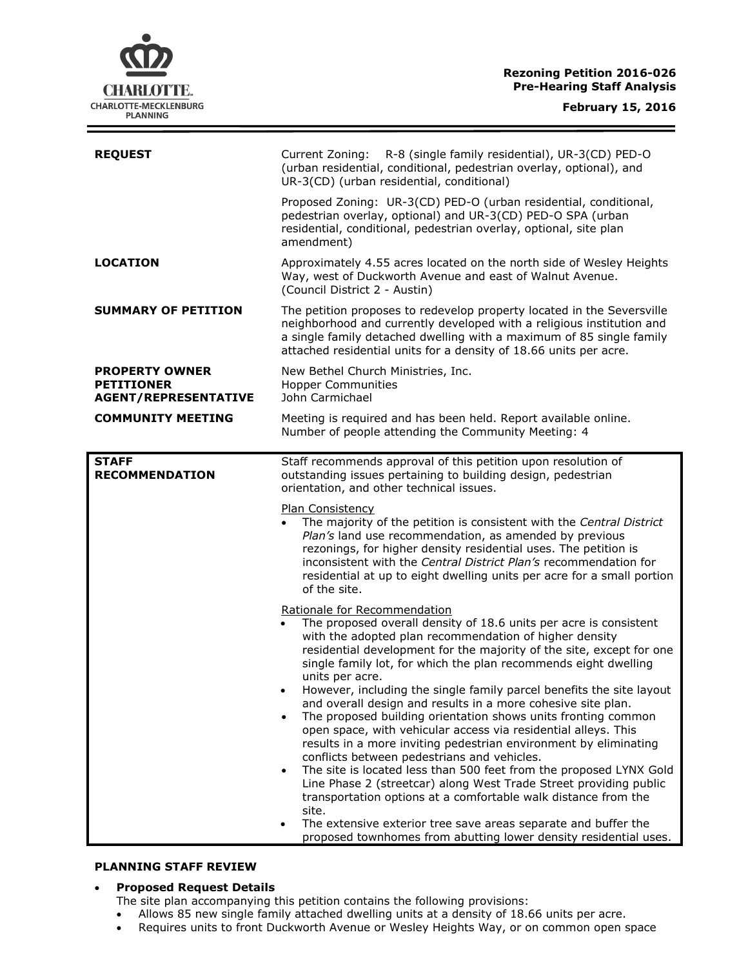**Rezoning Petition 2016-026 Pre-Hearing Staff Analysis**

| <b>REQUEST</b>                                                            | R-8 (single family residential), UR-3(CD) PED-O<br>Current Zoning:<br>(urban residential, conditional, pedestrian overlay, optional), and<br>UR-3(CD) (urban residential, conditional)                                                                                                                                                                                                                                                                                                                                                                                                                                                                                                                                                                                                                                                                                                                                                                                                                                                                                                                        |
|---------------------------------------------------------------------------|---------------------------------------------------------------------------------------------------------------------------------------------------------------------------------------------------------------------------------------------------------------------------------------------------------------------------------------------------------------------------------------------------------------------------------------------------------------------------------------------------------------------------------------------------------------------------------------------------------------------------------------------------------------------------------------------------------------------------------------------------------------------------------------------------------------------------------------------------------------------------------------------------------------------------------------------------------------------------------------------------------------------------------------------------------------------------------------------------------------|
|                                                                           | Proposed Zoning: UR-3(CD) PED-O (urban residential, conditional,<br>pedestrian overlay, optional) and UR-3(CD) PED-O SPA (urban<br>residential, conditional, pedestrian overlay, optional, site plan<br>amendment)                                                                                                                                                                                                                                                                                                                                                                                                                                                                                                                                                                                                                                                                                                                                                                                                                                                                                            |
| <b>LOCATION</b>                                                           | Approximately 4.55 acres located on the north side of Wesley Heights<br>Way, west of Duckworth Avenue and east of Walnut Avenue.<br>(Council District 2 - Austin)                                                                                                                                                                                                                                                                                                                                                                                                                                                                                                                                                                                                                                                                                                                                                                                                                                                                                                                                             |
| <b>SUMMARY OF PETITION</b>                                                | The petition proposes to redevelop property located in the Seversville<br>neighborhood and currently developed with a religious institution and<br>a single family detached dwelling with a maximum of 85 single family<br>attached residential units for a density of 18.66 units per acre.                                                                                                                                                                                                                                                                                                                                                                                                                                                                                                                                                                                                                                                                                                                                                                                                                  |
| <b>PROPERTY OWNER</b><br><b>PETITIONER</b><br><b>AGENT/REPRESENTATIVE</b> | New Bethel Church Ministries, Inc.<br><b>Hopper Communities</b><br>John Carmichael                                                                                                                                                                                                                                                                                                                                                                                                                                                                                                                                                                                                                                                                                                                                                                                                                                                                                                                                                                                                                            |
| <b>COMMUNITY MEETING</b>                                                  | Meeting is required and has been held. Report available online.<br>Number of people attending the Community Meeting: 4                                                                                                                                                                                                                                                                                                                                                                                                                                                                                                                                                                                                                                                                                                                                                                                                                                                                                                                                                                                        |
| <b>STAFF</b><br><b>RECOMMENDATION</b>                                     | Staff recommends approval of this petition upon resolution of<br>outstanding issues pertaining to building design, pedestrian<br>orientation, and other technical issues.<br><b>Plan Consistency</b><br>The majority of the petition is consistent with the Central District<br>Plan's land use recommendation, as amended by previous<br>rezonings, for higher density residential uses. The petition is<br>inconsistent with the Central District Plan's recommendation for<br>residential at up to eight dwelling units per acre for a small portion<br>of the site.                                                                                                                                                                                                                                                                                                                                                                                                                                                                                                                                       |
|                                                                           | Rationale for Recommendation<br>The proposed overall density of 18.6 units per acre is consistent<br>$\bullet$<br>with the adopted plan recommendation of higher density<br>residential development for the majority of the site, except for one<br>single family lot, for which the plan recommends eight dwelling<br>units per acre.<br>However, including the single family parcel benefits the site layout<br>and overall design and results in a more cohesive site plan.<br>The proposed building orientation shows units fronting common<br>open space, with vehicular access via residential alleys. This<br>results in a more inviting pedestrian environment by eliminating<br>conflicts between pedestrians and vehicles.<br>The site is located less than 500 feet from the proposed LYNX Gold<br>$\bullet$<br>Line Phase 2 (streetcar) along West Trade Street providing public<br>transportation options at a comfortable walk distance from the<br>site.<br>The extensive exterior tree save areas separate and buffer the<br>proposed townhomes from abutting lower density residential uses. |

### **PLANNING STAFF REVIEW**

## **Proposed Request Details**

- The site plan accompanying this petition contains the following provisions:
- Allows 85 new single family attached dwelling units at a density of 18.66 units per acre.
- Requires units to front Duckworth Avenue or Wesley Heights Way, or on common open space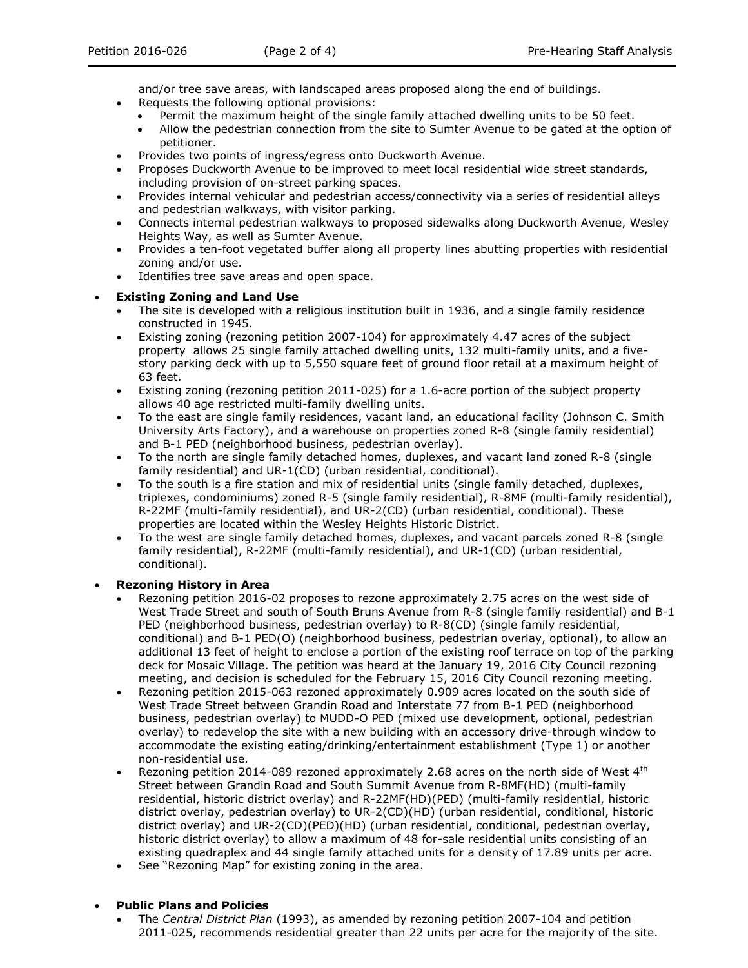and/or tree save areas, with landscaped areas proposed along the end of buildings.

- Requests the following optional provisions:
	- Permit the maximum height of the single family attached dwelling units to be 50 feet.
	- Allow the pedestrian connection from the site to Sumter Avenue to be gated at the option of petitioner.
- Provides two points of ingress/egress onto Duckworth Avenue.
- Proposes Duckworth Avenue to be improved to meet local residential wide street standards, including provision of on-street parking spaces.
- Provides internal vehicular and pedestrian access/connectivity via a series of residential alleys and pedestrian walkways, with visitor parking.
- Connects internal pedestrian walkways to proposed sidewalks along Duckworth Avenue, Wesley Heights Way, as well as Sumter Avenue.
- Provides a ten-foot vegetated buffer along all property lines abutting properties with residential zoning and/or use.
- Identifies tree save areas and open space.

# **Existing Zoning and Land Use**

- The site is developed with a religious institution built in 1936, and a single family residence constructed in 1945.
- Existing zoning (rezoning petition 2007-104) for approximately 4.47 acres of the subject property allows 25 single family attached dwelling units, 132 multi-family units, and a fivestory parking deck with up to 5,550 square feet of ground floor retail at a maximum height of 63 feet.
- Existing zoning (rezoning petition 2011-025) for a 1.6-acre portion of the subject property allows 40 age restricted multi-family dwelling units.
- To the east are single family residences, vacant land, an educational facility (Johnson C. Smith University Arts Factory), and a warehouse on properties zoned R-8 (single family residential) and B-1 PED (neighborhood business, pedestrian overlay).
- To the north are single family detached homes, duplexes, and vacant land zoned R-8 (single family residential) and UR-1(CD) (urban residential, conditional).
- To the south is a fire station and mix of residential units (single family detached, duplexes, triplexes, condominiums) zoned R-5 (single family residential), R-8MF (multi-family residential), R-22MF (multi-family residential), and UR-2(CD) (urban residential, conditional). These properties are located within the Wesley Heights Historic District.
- To the west are single family detached homes, duplexes, and vacant parcels zoned R-8 (single family residential), R-22MF (multi-family residential), and UR-1(CD) (urban residential, conditional).

## **Rezoning History in Area**

- Rezoning petition 2016-02 proposes to rezone approximately 2.75 acres on the west side of West Trade Street and south of South Bruns Avenue from R-8 (single family residential) and B-1 PED (neighborhood business, pedestrian overlay) to R-8(CD) (single family residential, conditional) and B-1 PED(O) (neighborhood business, pedestrian overlay, optional), to allow an additional 13 feet of height to enclose a portion of the existing roof terrace on top of the parking deck for Mosaic Village. The petition was heard at the January 19, 2016 City Council rezoning meeting, and decision is scheduled for the February 15, 2016 City Council rezoning meeting.
- Rezoning petition 2015-063 rezoned approximately 0.909 acres located on the south side of West Trade Street between Grandin Road and Interstate 77 from B-1 PED (neighborhood business, pedestrian overlay) to MUDD-O PED (mixed use development, optional, pedestrian overlay) to redevelop the site with a new building with an accessory drive-through window to accommodate the existing eating/drinking/entertainment establishment (Type 1) or another non-residential use.
- Rezoning petition 2014-089 rezoned approximately 2.68 acres on the north side of West 4<sup>th</sup> Street between Grandin Road and South Summit Avenue from R-8MF(HD) (multi-family residential, historic district overlay) and R-22MF(HD)(PED) (multi-family residential, historic district overlay, pedestrian overlay) to UR-2(CD)(HD) (urban residential, conditional, historic district overlay) and UR-2(CD)(PED)(HD) (urban residential, conditional, pedestrian overlay, historic district overlay) to allow a maximum of 48 for-sale residential units consisting of an existing quadraplex and 44 single family attached units for a density of 17.89 units per acre.
- See "Rezoning Map" for existing zoning in the area.

## **Public Plans and Policies**

 The *Central District Plan* (1993), as amended by rezoning petition 2007-104 and petition 2011-025, recommends residential greater than 22 units per acre for the majority of the site.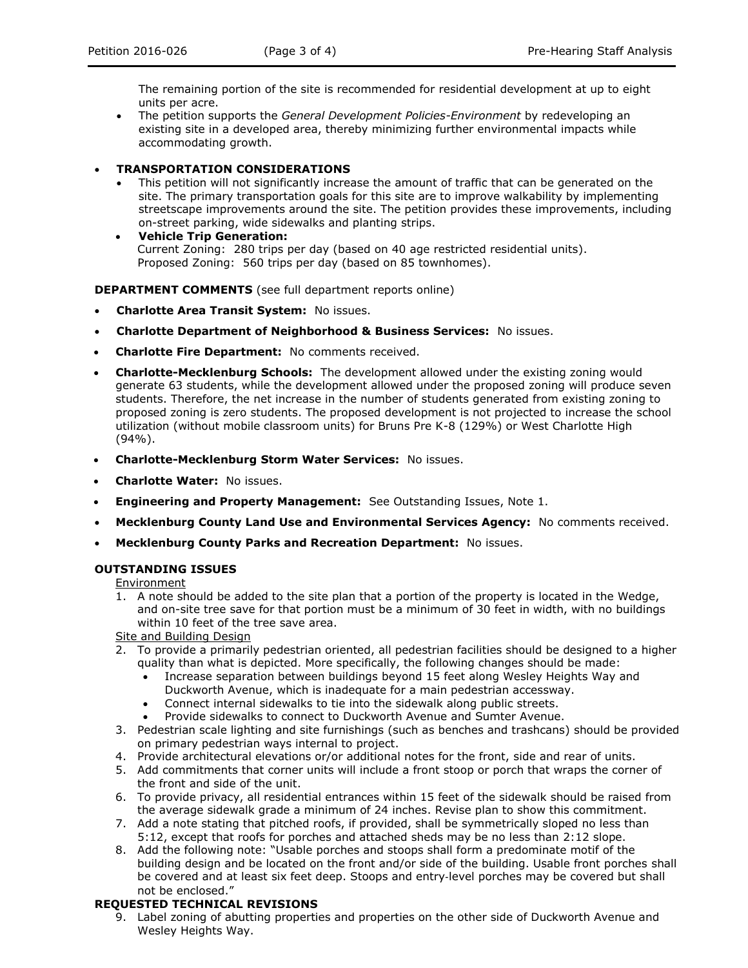The remaining portion of the site is recommended for residential development at up to eight units per acre.

- The petition supports the *General Development Policies-Environment* by redeveloping an existing site in a developed area, thereby minimizing further environmental impacts while accommodating growth.
- **TRANSPORTATION CONSIDERATIONS**
	- This petition will not significantly increase the amount of traffic that can be generated on the site. The primary transportation goals for this site are to improve walkability by implementing streetscape improvements around the site. The petition provides these improvements, including on-street parking, wide sidewalks and planting strips.
	- **Vehicle Trip Generation:** Current Zoning: 280 trips per day (based on 40 age restricted residential units). Proposed Zoning: 560 trips per day (based on 85 townhomes).

**DEPARTMENT COMMENTS** (see full department reports online)

- **Charlotte Area Transit System:** No issues.
- **Charlotte Department of Neighborhood & Business Services:** No issues.
- **Charlotte Fire Department:** No comments received.
- **Charlotte-Mecklenburg Schools:** The development allowed under the existing zoning would generate 63 students, while the development allowed under the proposed zoning will produce seven students. Therefore, the net increase in the number of students generated from existing zoning to proposed zoning is zero students. The proposed development is not projected to increase the school utilization (without mobile classroom units) for Bruns Pre K-8 (129%) or West Charlotte High (94%).
- **Charlotte-Mecklenburg Storm Water Services:** No issues.
- **Charlotte Water:** No issues.
- **Engineering and Property Management:** See Outstanding Issues, Note 1.
- **Mecklenburg County Land Use and Environmental Services Agency:** No comments received.
- **Mecklenburg County Parks and Recreation Department:** No issues.

## **OUTSTANDING ISSUES**

#### Environment

1. A note should be added to the site plan that a portion of the property is located in the Wedge, and on-site tree save for that portion must be a minimum of 30 feet in width, with no buildings within 10 feet of the tree save area.

#### **Site and Building Design**

- 2. To provide a primarily pedestrian oriented, all pedestrian facilities should be designed to a higher quality than what is depicted. More specifically, the following changes should be made:
	- Increase separation between buildings beyond 15 feet along Wesley Heights Way and Duckworth Avenue, which is inadequate for a main pedestrian accessway.
	- Connect internal sidewalks to tie into the sidewalk along public streets.
	- Provide sidewalks to connect to Duckworth Avenue and Sumter Avenue.
- 3. Pedestrian scale lighting and site furnishings (such as benches and trashcans) should be provided on primary pedestrian ways internal to project.
- 4. Provide architectural elevations or/or additional notes for the front, side and rear of units.
- 5. Add commitments that corner units will include a front stoop or porch that wraps the corner of the front and side of the unit.
- 6. To provide privacy, all residential entrances within 15 feet of the sidewalk should be raised from the average sidewalk grade a minimum of 24 inches. Revise plan to show this commitment.
- 7. Add a note stating that pitched roofs, if provided, shall be symmetrically sloped no less than 5:12, except that roofs for porches and attached sheds may be no less than 2:12 slope.
- 8. Add the following note: "Usable porches and stoops shall form a predominate motif of the building design and be located on the front and/or side of the building. Usable front porches shall be covered and at least six feet deep. Stoops and entry-level porches may be covered but shall not be enclosed."

#### **REQUESTED TECHNICAL REVISIONS**

9. Label zoning of abutting properties and properties on the other side of Duckworth Avenue and Wesley Heights Way.